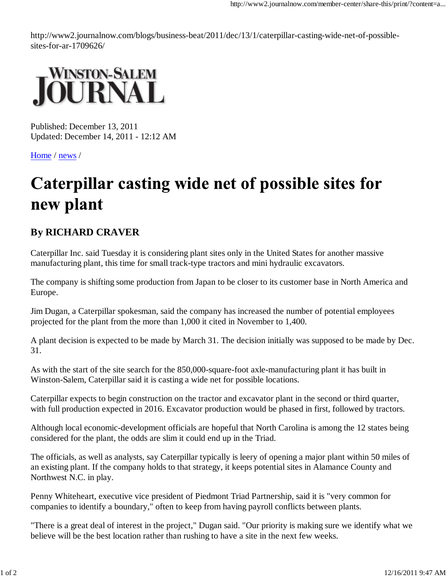http://www2.journalnow.com/blogs/business-beat/2011/dec/13/1/caterpillar-casting-wide-net-of-possiblesites-for-ar-1709626/



Published: December 13, 2011 Updated: December 14, 2011 - 12:12 AM

Home / news /

## Caterpillar casting wide net of possible sites for new plant

## **By RICHARD CRAVER**

Caterpillar Inc. said Tuesday it is considering plant sites only in the United States for another massive manufacturing plant, this time for small track-type tractors and mini hydraulic excavators.

The company is shifting some production from Japan to be closer to its customer base in North America and Europe.

Jim Dugan, a Caterpillar spokesman, said the company has increased the number of potential employees projected for the plant from the more than 1,000 it cited in November to 1,400.

A plant decision is expected to be made by March 31. The decision initially was supposed to be made by Dec. 31.

As with the start of the site search for the 850,000-square-foot axle-manufacturing plant it has built in Winston-Salem, Caterpillar said it is casting a wide net for possible locations.

Caterpillar expects to begin construction on the tractor and excavator plant in the second or third quarter, with full production expected in 2016. Excavator production would be phased in first, followed by tractors.

Although local economic-development officials are hopeful that North Carolina is among the 12 states being considered for the plant, the odds are slim it could end up in the Triad.

The officials, as well as analysts, say Caterpillar typically is leery of opening a major plant within 50 miles of an existing plant. If the company holds to that strategy, it keeps potential sites in Alamance County and Northwest N.C. in play.

Penny Whiteheart, executive vice president of Piedmont Triad Partnership, said it is "very common for companies to identify a boundary," often to keep from having payroll conflicts between plants.

"There is a great deal of interest in the project," Dugan said. "Our priority is making sure we identify what we believe will be the best location rather than rushing to have a site in the next few weeks.